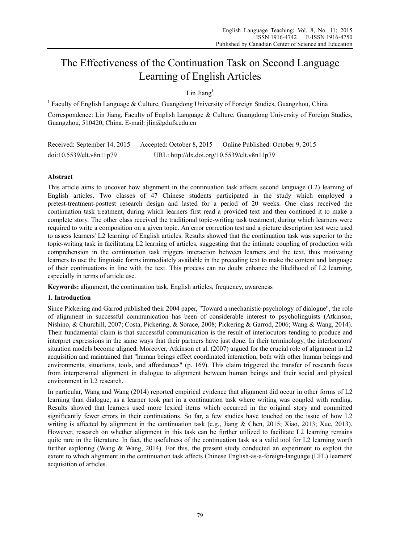# The Effectiveness of the Continuation Task on Second Language Learning of English Articles

# Lin Jiang $<sup>1</sup>$ </sup>

<sup>1</sup> Faculty of English Language & Culture, Guangdong University of Foreign Studies, Guangzhou, China Correspondence: Lin Jiang, Faculty of English Language & Culture, Guangdong University of Foreign Studies, Guangzhou, 510420, China. E-mail: jlin@gdufs.edu.cn

Received: September 14, 2015 Accepted: October 8, 2015 Online Published: October 9, 2015 doi:10.5539/elt.v8n11p79 URL: http://dx.doi.org/10.5539/elt.v8n11p79

# **Abstract**

This article aims to uncover how alignment in the continuation task affects second language (L2) learning of English articles. Two classes of 47 Chinese students participated in the study which employed a pretest-treatment-posttest research design and lasted for a period of 20 weeks. One class received the continuation task treatment, during which learners first read a provided text and then continued it to make a complete story. The other class received the traditional topic-writing task treatment, during which learners were required to write a composition on a given topic. An error correction test and a picture description test were used to assess learners' L2 learning of English articles. Results showed that the continuation task was superior to the topic-writing task in facilitating L2 learning of articles, suggesting that the intimate coupling of production with comprehension in the continuation task triggers interaction between learners and the text, thus motivating learners to use the linguistic forms immediately available in the preceding text to make the content and language of their continuations in line with the text. This process can no doubt enhance the likelihood of L2 learning, especially in terms of article use.

**Keywords:** alignment, the continuation task, English articles, frequency, awareness

# **1. Introduction**

Since Pickering and Garrod published their 2004 paper, "Toward a mechanistic psychology of dialogue", the role of alignment in successful communication has been of considerable interest to psycholinguists (Atkinson, Nishino, & Churchill, 2007; Costa, Pickering, & Sorace, 2008; Pickering & Garrod, 2006; Wang & Wang, 2014). Their fundamental claim is that successful communication is the result of interlocutors tending to produce and interpret expressions in the same ways that their partners have just done. In their terminology, the interlocutors' situation models become aligned. Moreover, Atkinson et al. (2007) argued for the crucial role of alignment in L2 acquisition and maintained that "human beings effect coordinated interaction, both with other human beings and environments, situations, tools, and affordances" (p. 169). This claim triggered the transfer of research focus from interpersonal alignment in dialogue to alignment between human beings and their social and physical environment in L2 research.

In particular, Wang and Wang (2014) reported empirical evidence that alignment did occur in other forms of L2 learning than dialogue, as a learner took part in a continuation task where writing was coupled with reading. Results showed that learners used more lexical items which occurred in the original story and committed significantly fewer errors in their continuations. So far, a few studies have touched on the issue of how L2 writing is affected by alignment in the continuation task (e.g., Jiang & Chen, 2015; Xiao, 2013; Xue, 2013). However, research on whether alignment in this task can be further utilized to facilitate L2 learning remains quite rare in the literature. In fact, the usefulness of the continuation task as a valid tool for L2 learning worth further exploring (Wang & Wang, 2014). For this, the present study conducted an experiment to exploit the extent to which alignment in the continuation task affects Chinese English-as-a-foreign-language (EFL) learners' acquisition of articles.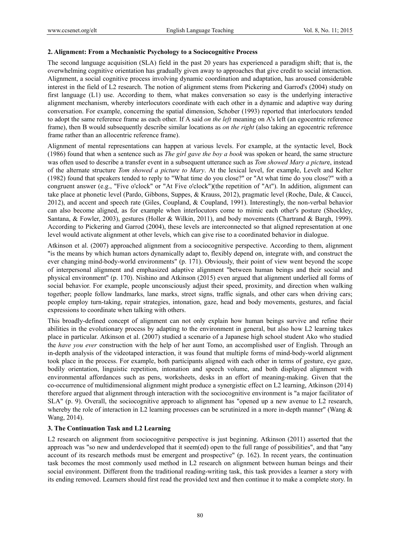#### **2. Alignment: From a Mechanistic Psychology to a Sociocognitive Process**

The second language acquisition (SLA) field in the past 20 years has experienced a paradigm shift; that is, the overwhelming cognitive orientation has gradually given away to approaches that give credit to social interaction. Alignment, a social cognitive process involving dynamic coordination and adaptation, has aroused considerable interest in the field of L2 research. The notion of alignment stems from Pickering and Garrod's (2004) study on first language (L1) use. According to them, what makes conversation so easy is the underlying interactive alignment mechanism, whereby interlocutors coordinate with each other in a dynamic and adaptive way during conversation. For example, concerning the spatial dimension, Schober (1993) reported that interlocutors tended to adopt the same reference frame as each other. If A said *on the left* meaning on A's left (an egocentric reference frame), then B would subsequently describe similar locations as *on the right* (also taking an egocentric reference frame rather than an allocentric reference frame).

Alignment of mental representations can happen at various levels. For example, at the syntactic level, Bock (1986) found that when a sentence such as *The girl gave the boy a book* was spoken or heard, the same structure was often used to describe a transfer event in a subsequent utterance such as *Tom showed Mary a pictur*e, instead of the alternate structure *Tom showed a picture to Mary*. At the lexical level, for example, Levelt and Kelter (1982) found that speakers tended to reply to "What time do you close?" or "At what time do you close?" with a congruent answer (e.g., "Five o'clock" or "At Five o'clock")(the repetition of "At"). In addition, alignment can take place at phonetic level (Pardo, Gibbons, Suppes, & Krauss, 2012), pragmatic level (Roche, Dale, & Caucci, 2012), and accent and speech rate (Giles, Coupland, & Coupland, 1991). Interestingly, the non-verbal behavior can also become aligned, as for example when interlocutors come to mimic each other's posture (Shockley, Santana, & Fowler, 2003), gestures (Holler & Wilkin, 2011), and body movements (Chartrand & Bargh, 1999). According to Pickering and Garrod (2004), these levels are interconnected so that aligned representation at one level would activate alignment at other levels, which can give rise to a coordinated behavior in dialogue.

Atkinson et al. (2007) approached alignment from a sociocognitive perspective. According to them, alignment "is the means by which human actors dynamically adapt to, flexibly depend on, integrate with, and construct the ever changing mind-body-world environments" (p. 171). Obviously, their point of view went beyond the scope of interpersonal alignment and emphasized adaptive alignment "between human beings and their social and physical environment" (p. 170). Nishino and Atkinson (2015) even argued that alignment underlied all forms of social behavior. For example, people unconsciously adjust their speed, proximity, and direction when walking together; people follow landmarks, lane marks, street signs, traffic signals, and other cars when driving cars; people employ turn-taking, repair strategies, intonation, gaze, head and body movements, gestures, and facial expressions to coordinate when talking with others.

This broadly-defined concept of alignment can not only explain how human beings survive and refine their abilities in the evolutionary process by adapting to the environment in general, but also how L2 learning takes place in particular. Atkinson et al. (2007) studied a scenario of a Japanese high school student Ako who studied the *have you ever* construction with the help of her aunt Tomo, an accomplished user of English. Through an in-depth analysis of the videotaped interaction, it was found that multiple forms of mind-body-world alignment took place in the process. For example, both participants aligned with each other in terms of gesture, eye gaze, bodily orientation, linguistic repetition, intonation and speech volume, and both displayed alignment with environmental affordances such as pens, worksheets, desks in an effort of meaning-making. Given that the co-occurrence of multidimensional alignment might produce a synergistic effect on L2 learning, Atkinson (2014) therefore argued that alignment through interaction with the sociocognitive environment is "a major facilitator of SLA" (p. 9). Overall, the sociocognitive approach to alignment has "opened up a new avenue to L2 research, whereby the role of interaction in L2 learning processes can be scrutinized in a more in-depth manner" (Wang  $\&$ Wang, 2014).

## **3. The Continuation Task and L2 Learning**

L2 research on alignment from sociocognitive perspective is just beginning. Atkinson (2011) asserted that the approach was "so new and underdeveloped that it seem(ed) open to the full range of possibilities", and that "any account of its research methods must be emergent and prospective" (p. 162). In recent years, the continuation task becomes the most commonly used method in L2 research on alignment between human beings and their social environment. Different from the traditional reading-writing task, this task provides a learner a story with its ending removed. Learners should first read the provided text and then continue it to make a complete story. In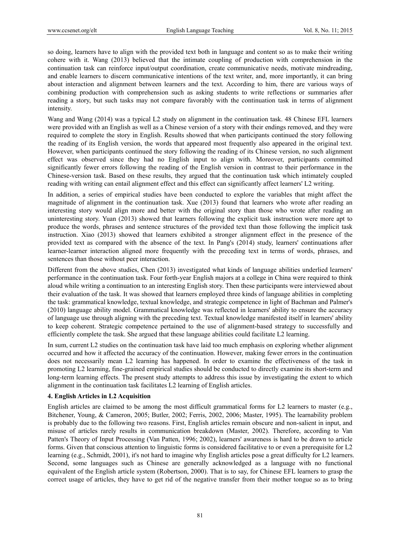so doing, learners have to align with the provided text both in language and content so as to make their writing cohere with it. Wang (2013) believed that the intimate coupling of production with comprehension in the continuation task can reinforce input/output coordination, create communicative needs, motivate mindreading, and enable learners to discern communicative intentions of the text writer, and, more importantly, it can bring about interaction and alignment between learners and the text. According to him, there are various ways of combining production with comprehension such as asking students to write reflections or summaries after reading a story, but such tasks may not compare favorably with the continuation task in terms of alignment intensity.

Wang and Wang (2014) was a typical L2 study on alignment in the continuation task. 48 Chinese EFL learners were provided with an English as well as a Chinese version of a story with their endings removed, and they were required to complete the story in English. Results showed that when participants continued the story following the reading of its English version, the words that appeared most frequently also appeared in the original text. However, when participants continued the story following the reading of its Chinese version, no such alignment effect was observed since they had no English input to align with. Moreover, participants committed significantly fewer errors following the reading of the English version in contrast to their performance in the Chinese-version task. Based on these results, they argued that the continuation task which intimately coupled reading with writing can entail alignment effect and this effect can significantly affect learners' L2 writing.

In addition, a series of empirical studies have been conducted to explore the variables that might affect the magnitude of alignment in the continuation task. Xue (2013) found that learners who wrote after reading an interesting story would align more and better with the original story than those who wrote after reading an uninteresting story. Yuan (2013) showed that learners following the explicit task instruction were more apt to produce the words, phrases and sentence structures of the provided text than those following the implicit task instruction. Xiao (2013) showed that learners exhibited a stronger alignment effect in the presence of the provided text as compared with the absence of the text. In Pang's (2014) study, learners' continuations after learner-learner interaction aligned more frequently with the preceding text in terms of words, phrases, and sentences than those without peer interaction.

Different from the above studies, Chen (2013) investigated what kinds of language abilities underlied learners' performance in the continuation task. Four forth-year English majors at a college in China were required to think aloud while writing a continuation to an interesting English story. Then these participants were interviewed about their evaluation of the task. It was showed that learners employed three kinds of language abilities in completing the task: grammatical knowledge, textual knowledge, and strategic competence in light of Bachman and Palmer's (2010) language ability model. Grammatical knowledge was reflected in learners' ability to ensure the accuracy of language use through aligning with the preceding text. Textual knowledge manifested itself in learners' ability to keep coherent. Strategic competence pertained to the use of alignment-based strategy to successfully and efficiently complete the task. She argued that these language abilities could facilitate L2 learning.

In sum, current L2 studies on the continuation task have laid too much emphasis on exploring whether alignment occurred and how it affected the accuracy of the continuation. However, making fewer errors in the continuation does not necessarily mean L2 learning has happened. In order to examine the effectiveness of the task in promoting L2 learning, fine-grained empirical studies should be conducted to directly examine its short-term and long-term learning effects. The present study attempts to address this issue by investigating the extent to which alignment in the continuation task facilitates L2 learning of English articles.

## **4. English Articles in L2 Acquisition**

English articles are claimed to be among the most difficult grammatical forms for L2 learners to master (e.g., Bitchener, Young, & Cameron, 2005; Butler, 2002; Ferris, 2002, 2006; Master, 1995). The learnability problem is probably due to the following two reasons. First, English articles remain obscure and non-salient in input, and misuse of articles rarely results in communication breakdown (Master, 2002). Therefore, according to Van Patten's Theory of Input Processing (Van Patten, 1996; 2002), learners' awareness is hard to be drawn to article forms. Given that conscious attention to linguistic forms is considered facilitative to or even a prerequisite for L2 learning (e.g., Schmidt, 2001), it's not hard to imagine why English articles pose a great difficulty for L2 learners. Second, some languages such as Chinese are generally acknowledged as a language with no functional equivalent of the English article system (Robertson, 2000). That is to say, for Chinese EFL learners to grasp the correct usage of articles, they have to get rid of the negative transfer from their mother tongue so as to bring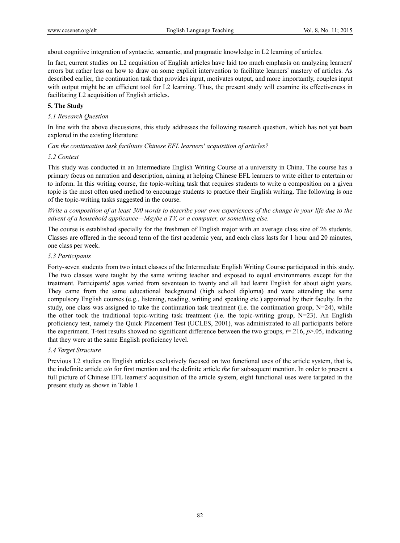about cognitive integration of syntactic, semantic, and pragmatic knowledge in L2 learning of articles.

In fact, current studies on L2 acquisition of English articles have laid too much emphasis on analyzing learners' errors but rather less on how to draw on some explicit intervention to facilitate learners' mastery of articles. As described earlier, the continuation task that provides input, motivates output, and more importantly, couples input with output might be an efficient tool for L2 learning. Thus, the present study will examine its effectiveness in facilitating L2 acquisition of English articles.

## **5. The Study**

## *5.1 Research Question*

In line with the above discussions, this study addresses the following research question, which has not yet been explored in the existing literature:

*Can the continuation task facilitate Chinese EFL learners' acquisition of articles?* 

#### *5.2 Context*

This study was conducted in an Intermediate English Writing Course at a university in China. The course has a primary focus on narration and description, aiming at helping Chinese EFL learners to write either to entertain or to inform. In this writing course, the topic-writing task that requires students to write a composition on a given topic is the most often used method to encourage students to practice their English writing. The following is one of the topic-writing tasks suggested in the course.

*Write a composition of at least 300 words to describe your own experiences of the change in your life due to the advent of a household applicance—Maybe a TV, or a computer, or something else.* 

The course is established specially for the freshmen of English major with an average class size of 26 students. Classes are offered in the second term of the first academic year, and each class lasts for 1 hour and 20 minutes, one class per week.

#### *5.3 Participants*

Forty-seven students from two intact classes of the Intermediate English Writing Course participated in this study. The two classes were taught by the same writing teacher and exposed to equal environments except for the treatment. Participants' ages varied from seventeen to twenty and all had learnt English for about eight years. They came from the same educational background (high school diploma) and were attending the same compulsory English courses (e.g., listening, reading, writing and speaking etc.) appointed by their faculty. In the study, one class was assigned to take the continuation task treatment (i.e. the continuation group,  $N=24$ ), while the other took the traditional topic-writing task treatment (i.e. the topic-writing group,  $N=23$ ). An English proficiency test, namely the Quick Placement Test (UCLES, 2001), was administrated to all participants before the experiment. T-test results showed no significant difference between the two groups,  $t=0.216$ ,  $p>0.05$ , indicating that they were at the same English proficiency level.

# *5.4 Target Structure*

Previous L2 studies on English articles exclusively focused on two functional uses of the article system, that is, the indefinite article *a/n* for first mention and the definite article *the* for subsequent mention. In order to present a full picture of Chinese EFL learners' acquisition of the article system, eight functional uses were targeted in the present study as shown in Table 1.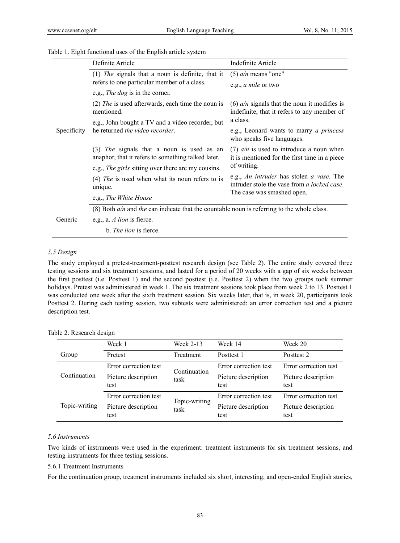|  |  |  | Table 1. Eight functional uses of the English article system |
|--|--|--|--------------------------------------------------------------|
|  |  |  |                                                              |

|             | Definite Article                                                                                | Indefinite Article                                                                                                    |  |  |  |  |
|-------------|-------------------------------------------------------------------------------------------------|-----------------------------------------------------------------------------------------------------------------------|--|--|--|--|
| Specificity | (1) The signals that a noun is definite, that it                                                | $(5)$ a/n means "one"                                                                                                 |  |  |  |  |
|             | refers to one particular member of a class.                                                     | e.g., <i>a mile</i> or two                                                                                            |  |  |  |  |
|             | e.g., <i>The dog</i> is in the corner.                                                          |                                                                                                                       |  |  |  |  |
|             | $(2)$ <i>The</i> is used afterwards, each time the noun is<br>mentioned.                        | (6) $a/n$ signals that the noun it modifies is<br>indefinite, that it refers to any member of                         |  |  |  |  |
|             | e.g., John bought a TV and a video recorder, but                                                | a class.                                                                                                              |  |  |  |  |
|             | he returned the video recorder.                                                                 | e.g., Leonard wants to marry <i>a princess</i><br>who speaks five languages.                                          |  |  |  |  |
|             | (3) The signals that a noun is used as an<br>anaphor, that it refers to something talked later. | (7) $a/n$ is used to introduce a noun when<br>it is mentioned for the first time in a piece<br>of writing.            |  |  |  |  |
|             | e.g., <i>The girls</i> sitting over there are my cousins.                                       |                                                                                                                       |  |  |  |  |
|             | (4) The is used when what its noun refers to is<br>unique.                                      | e.g., An intruder has stolen a vase. The<br>intruder stole the vase from a locked case.<br>The case was smashed open. |  |  |  |  |
|             | e.g., The White House                                                                           |                                                                                                                       |  |  |  |  |
|             | (8) Both $a/n$ and the can indicate that the countable noun is referring to the whole class.    |                                                                                                                       |  |  |  |  |
| Generic     | e.g., a. A lion is fierce.                                                                      |                                                                                                                       |  |  |  |  |
|             | b. <i>The lion</i> is fierce.                                                                   |                                                                                                                       |  |  |  |  |

# *5.5 Design*

 $\overline{a}$ 

The study employed a pretest-treatment-posttest research design (see Table 2). The entire study covered three testing sessions and six treatment sessions, and lasted for a period of 20 weeks with a gap of six weeks between the first posttest (i.e. Posttest 1) and the second posttest (i.e. Posttest 2) when the two groups took summer holidays. Pretest was administered in week 1. The six treatment sessions took place from week 2 to 13. Posttest 1 was conducted one week after the sixth treatment session. Six weeks later, that is, in week 20, participants took Posttest 2. During each testing session, two subtests were administered: an error correction test and a picture description test.

|               | Week 1                      | Week 2-13     | Week 14                     | Week 20                     |
|---------------|-----------------------------|---------------|-----------------------------|-----------------------------|
| Group         | Pretest                     | Treatment     | Posttest 1                  | Posttest 2                  |
| Continuation  | Error correction test       | Continuation  | Error correction test       | Error correction test       |
|               | Picture description<br>test | task          | Picture description<br>test | Picture description<br>test |
|               | Error correction test       | Topic-writing | Error correction test       | Error correction test       |
| Topic-writing | Picture description<br>test | task          | Picture description<br>test | Picture description<br>test |

Table 2. Research design

# *5.6 Instruments*

Two kinds of instruments were used in the experiment: treatment instruments for six treatment sessions, and testing instruments for three testing sessions.

## 5.6.1 Treatment Instruments

For the continuation group, treatment instruments included six short, interesting, and open-ended English stories,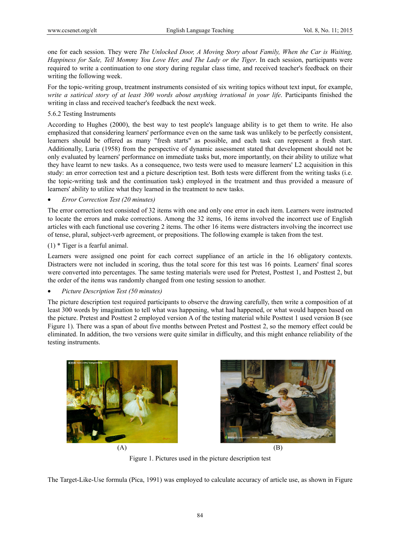one for each session. They were *The Unlocked Door, A Moving Story about Family, When the Car is Waiting, Happiness for Sale, Tell Mommy You Love Her, and The Lady or the Tiger*. In each session, participants were required to write a continuation to one story during regular class time, and received teacher's feedback on their writing the following week.

For the topic-writing group, treatment instruments consisted of six writing topics without text input, for example, *write a satirical story of at least 300 words about anything irrational in your life*. Participants finished the writing in class and received teacher's feedback the next week.

## 5.6.2 Testing Instruments

According to Hughes (2000), the best way to test people's language ability is to get them to write. He also emphasized that considering learners' performance even on the same task was unlikely to be perfectly consistent, learners should be offered as many "fresh starts" as possible, and each task can represent a fresh start. Additionally, Luria (1958) from the perspective of dynamic assessment stated that development should not be only evaluated by learners' performance on immediate tasks but, more importantly, on their ability to utilize what they have learnt to new tasks. As a consequence, two tests were used to measure learners' L2 acquisition in this study: an error correction test and a picture description test. Both tests were different from the writing tasks (i.e. the topic-writing task and the continuation task) employed in the treatment and thus provided a measure of learners' ability to utilize what they learned in the treatment to new tasks.

## *Error Correction Test (20 minutes)*

The error correction test consisted of 32 items with one and only one error in each item. Learners were instructed to locate the errors and make corrections. Among the 32 items, 16 items involved the incorrect use of English articles with each functional use covering 2 items. The other 16 items were distracters involving the incorrect use of tense, plural, subject-verb agreement, or prepositions. The following example is taken from the test.

(1) \* Tiger is a fearful animal.

Learners were assigned one point for each correct suppliance of an article in the 16 obligatory contexts. Distracters were not included in scoring, thus the total score for this test was 16 points. Learners' final scores were converted into percentages. The same testing materials were used for Pretest, Posttest 1, and Posttest 2, but the order of the items was randomly changed from one testing session to another.

## *Picture Description Test (50 minutes)*

The picture description test required participants to observe the drawing carefully, then write a composition of at least 300 words by imagination to tell what was happening, what had happened, or what would happen based on the picture. Pretest and Posttest 2 employed version A of the testing material while Posttest 1 used version B (see Figure 1). There was a span of about five months between Pretest and Posttest 2, so the memory effect could be eliminated. In addition, the two versions were quite similar in difficulty, and this might enhance reliability of the testing instruments.







Figure 1. Pictures used in the picture description test

The Target-Like-Use formula (Pica, 1991) was employed to calculate accuracy of article use, as shown in Figure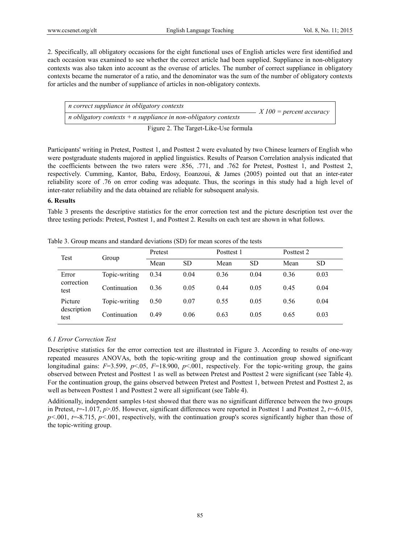2. Specifically, all obligatory occasions for the eight functional uses of English articles were first identified and each occasion was examined to see whether the correct article had been supplied. Suppliance in non-obligatory contexts was also taken into account as the overuse of articles. The number of correct suppliance in obligatory contexts became the numerator of a ratio, and the denominator was the sum of the number of obligatory contexts for articles and the number of suppliance of articles in non-obligatory contexts.

*n* correct suppliance in obligatory contexts<br>*n* obligatory contexts + *n* suppliance in non-obligatory contexts  $X100 =$  percent accuracy

Figure 2. The Target-Like-Use formula

Participants' writing in Pretest, Posttest 1, and Posttest 2 were evaluated by two Chinese learners of English who were postgraduate students majored in applied linguistics. Results of Pearson Correlation analysis indicated that the coefficients between the two raters were .856, .771, and .762 for Pretest, Posttest 1, and Posttest 2, respectively. Cumming, Kantor, Baba, Erdosy, Eoanzoui, & James (2005) pointed out that an inter-rater reliability score of .76 on error coding was adequate. Thus, the scorings in this study had a high level of inter-rater reliability and the data obtained are reliable for subsequent analysis.

#### **6. Results**

Table 3 presents the descriptive statistics for the error correction test and the picture description test over the three testing periods: Pretest, Posttest 1, and Posttest 2. Results on each test are shown in what follows.

| Test                           | Group         | Pretest |           | Posttest 1 |           | Posttest 2 |           |
|--------------------------------|---------------|---------|-----------|------------|-----------|------------|-----------|
|                                |               | Mean    | <b>SD</b> | Mean       | <b>SD</b> | Mean       | <b>SD</b> |
| Error                          | Topic-writing | 0.34    | 0.04      | 0.36       | 0.04      | 0.36       | 0.03      |
| correction<br>test             | Continuation  | 0.36    | 0.05      | 0.44       | 0.05      | 0.45       | 0.04      |
| Picture<br>description<br>test | Topic-writing | 0.50    | 0.07      | 0.55       | 0.05      | 0.56       | 0.04      |
|                                | Continuation  | 0.49    | 0.06      | 0.63       | 0.05      | 0.65       | 0.03      |

Table 3. Group means and standard deviations (SD) for mean scores of the tests

# *6.1 Error Correction Test*

Descriptive statistics for the error correction test are illustrated in Figure 3. According to results of one-way repeated measures ANOVAs, both the topic-writing group and the continuation group showed significant longitudinal gains:  $F=3.599$ ,  $p<0.05$ ,  $F=18.900$ ,  $p<0.001$ , respectively. For the topic-writing group, the gains observed between Pretest and Posttest 1 as well as between Pretest and Posttest 2 were significant (see Table 4). For the continuation group, the gains observed between Pretest and Posttest 1, between Pretest and Posttest 2, as well as between Posttest 1 and Posttest 2 were all significant (see Table 4).

Additionally, independent samples t-test showed that there was no significant difference between the two groups in Pretest,  $t=1.017$ ,  $p>0.05$ . However, significant differences were reported in Posttest 1 and Posttest 2,  $t=-6.015$ , *p*<001, *t*=-8.715, *p*<001, respectively, with the continuation group's scores significantly higher than those of the topic-writing group.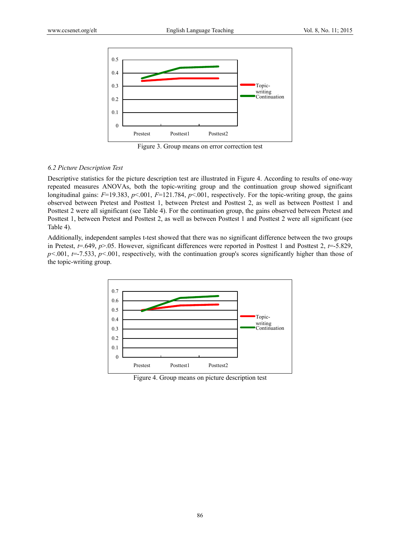

Figure 3. Group means on error correction test

#### *6.2 Picture Description Test*

Descriptive statistics for the picture description test are illustrated in Figure 4. According to results of one-way repeated measures ANOVAs, both the topic-writing group and the continuation group showed significant longitudinal gains:  $F=19.383$ ,  $p<0.001$ ,  $F=121.784$ ,  $p<0.001$ , respectively. For the topic-writing group, the gains observed between Pretest and Posttest 1, between Pretest and Posttest 2, as well as between Posttest 1 and Posttest 2 were all significant (see Table 4). For the continuation group, the gains observed between Pretest and Posttest 1, between Pretest and Posttest 2, as well as between Posttest 1 and Posttest 2 were all significant (see Table 4).

Additionally, independent samples t-test showed that there was no significant difference between the two groups in Pretest,  $t = .649$ ,  $p > .05$ . However, significant differences were reported in Posttest 1 and Posttest 2,  $t = .5.829$ , *p*<001, *t*=-7.533, *p*<001, respectively, with the continuation group's scores significantly higher than those of the topic-writing group.



Figure 4. Group means on picture description test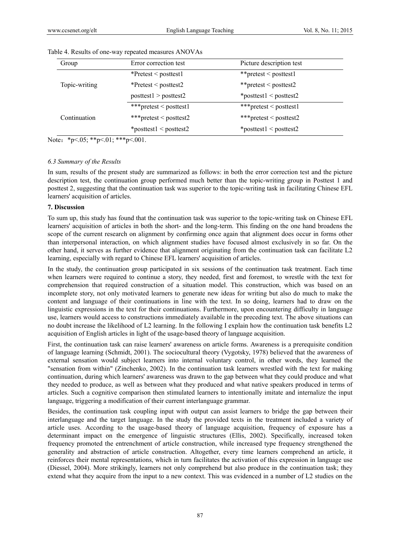| Group         | Error correction test           | Picture description test        |  |  |
|---------------|---------------------------------|---------------------------------|--|--|
|               | $*$ Pretest < posttest1         | **pretest < posttest1           |  |  |
| Topic-writing | *Pretest < posttest2            | **pretest < posttest2           |  |  |
|               | posttest1 > posttest2           | $*$ posttest $1$ < posttest $2$ |  |  |
|               | ***pretest < posttest1          | ***pretest < posttest1          |  |  |
| Continuation  | ***pretest < posttest2          | ***pretest < posttest2          |  |  |
|               | $*$ posttest $1$ < posttest $2$ | $*$ posttest $1$ < posttest $2$ |  |  |

#### Table 4. Results of one-way repeated measures ANOVAs

Note: \*p<.05; \*\*p<.01; \*\*\*p<.001.

#### *6.3 Summary of the Results*

In sum, results of the present study are summarized as follows: in both the error correction test and the picture description test, the continuation group performed much better than the topic-writing group in Posttest 1 and posttest 2, suggesting that the continuation task was superior to the topic-writing task in facilitating Chinese EFL learners' acquisition of articles.

#### **7. Discussion**

To sum up, this study has found that the continuation task was superior to the topic-writing task on Chinese EFL learners' acquisition of articles in both the short- and the long-term. This finding on the one hand broadens the scope of the current research on alignment by confirming once again that alignment does occur in forms other than interpersonal interaction, on which alignment studies have focused almost exclusively in so far. On the other hand, it serves as further evidence that alignment originating from the continuation task can facilitate L2 learning, especially with regard to Chinese EFL learners' acquisition of articles.

In the study, the continuation group participated in six sessions of the continuation task treatment. Each time when learners were required to continue a story, they needed, first and foremost, to wrestle with the text for comprehension that required construction of a situation model. This construction, which was based on an incomplete story, not only motivated learners to generate new ideas for writing but also do much to make the content and language of their continuations in line with the text. In so doing, learners had to draw on the linguistic expressions in the text for their continuations. Furthermore, upon encountering difficulty in language use, learners would access to constructions immediately available in the preceding text. The above situations can no doubt increase the likelihood of L2 learning. In the following I explain how the continuation task benefits L2 acquisition of English articles in light of the usage-based theory of language acquisition.

First, the continuation task can raise learners' awareness on article forms. Awareness is a prerequisite condition of language learning (Schmidt, 2001). The sociocultural theory (Vygotsky, 1978) believed that the awareness of external sensation would subject learners into internal voluntary control, in other words, they learned the "sensation from within" (Zinchenko, 2002). In the continuation task learners wrestled with the text for making continuation, during which learners' awareness was drawn to the gap between what they could produce and what they needed to produce, as well as between what they produced and what native speakers produced in terms of articles. Such a cognitive comparison then stimulated learners to intentionally imitate and internalize the input language, triggering a modification of their current interlanguage grammar.

Besides, the continuation task coupling input with output can assist learners to bridge the gap between their interlanguage and the target language. In the study the provided texts in the treatment included a variety of article uses. According to the usage-based theory of language acquisition, frequency of exposure has a determinant impact on the emergence of linguistic structures (Ellis, 2002). Specifically, increased token frequency promoted the entrenchment of article construction, while increased type frequency strengthened the generality and abstraction of article construction. Altogether, every time learners comprehend an article, it reinforces their mental representations, which in turn facilitates the activation of this expression in language use (Diessel, 2004). More strikingly, learners not only comprehend but also produce in the continuation task; they extend what they acquire from the input to a new context. This was evidenced in a number of L2 studies on the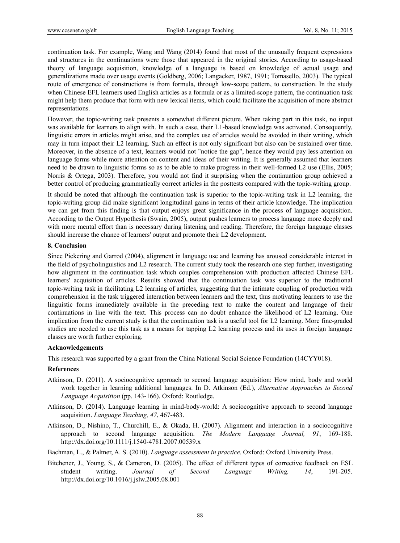continuation task. For example, Wang and Wang (2014) found that most of the unusually frequent expressions and structures in the continuations were those that appeared in the original stories. According to usage-based theory of language acquisition, knowledge of a language is based on knowledge of actual usage and generalizations made over usage events (Goldberg, 2006; Langacker, 1987, 1991; Tomasello, 2003). The typical route of emergence of constructions is from formula, through low-scope pattern, to construction. In the study when Chinese EFL learners used English articles as a formula or as a limited-scope pattern, the continuation task might help them produce that form with new lexical items, which could facilitate the acquisition of more abstract representations.

However, the topic-writing task presents a somewhat different picture. When taking part in this task, no input was available for learners to align with. In such a case, their L1-based knowledge was activated. Consequently, linguistic errors in articles might arise, and the complex use of articles would be avoided in their writing, which may in turn impact their L2 learning. Such an effect is not only significant but also can be sustained over time. Moreover, in the absence of a text, learners would not "notice the gap", hence they would pay less attention on language forms while more attention on content and ideas of their writing. It is generally assumed that learners need to be drawn to linguistic forms so as to be able to make progress in their well-formed L2 use (Ellis, 2005; Norris & Ortega, 2003). Therefore, you would not find it surprising when the continuation group achieved a better control of producing grammatically correct articles in the posttests compared with the topic-writing group.

It should be noted that although the continuation task is superior to the topic-writing task in L2 learning, the topic-writing group did make significant longitudinal gains in terms of their article knowledge. The implication we can get from this finding is that output enjoys great significance in the process of language acquisition. According to the Output Hypothesis (Swain, 2005), output pushes learners to process language more deeply and with more mental effort than is necessary during listening and reading. Therefore, the foreign language classes should increase the chance of learners' output and promote their L2 development.

## **8. Conclusion**

Since Pickering and Garrod (2004), alignment in language use and learning has aroused considerable interest in the field of psycholinguistics and L2 research. The current study took the research one step further, investigating how alignment in the continuation task which couples comprehension with production affected Chinese EFL learners' acquisition of articles. Results showed that the continuation task was superior to the traditional topic-writing task in facilitating L2 learning of articles, suggesting that the intimate coupling of production with comprehension in the task triggered interaction between learners and the text, thus motivating learners to use the linguistic forms immediately available in the preceding text to make the content and language of their continuations in line with the text. This process can no doubt enhance the likelihood of L2 learning. One implication from the current study is that the continuation task is a useful tool for L2 learning. More fine-graded studies are needed to use this task as a means for tapping L2 learning process and its uses in foreign language classes are worth further exploring.

## **Acknowledgements**

This research was supported by a grant from the China National Social Science Foundation (14CYY018).

## **References**

- Atkinson, D. (2011). A sociocognitive approach to second language acquisition: How mind, body and world work together in learning additional languages. In D. Atkinson (Ed.), *Alternative Approaches to Second Language Acquisition* (pp. 143-166). Oxford: Routledge.
- Atkinson, D. (2014). Language learning in mind-body-world: A sociocognitive approach to second language acquisition. *Language Teaching, 47*, 467-483.
- Atkinson, D., Nishino, T., Churchill, E., & Okada, H. (2007). Alignment and interaction in a sociocognitive approach to second language acquisition. *The Modern Language Journal, 91*, 169-188. http://dx.doi.org/10.1111/j.1540-4781.2007.00539.x

Bachman, L., & Palmer, A. S. (2010). *Language assessment in practice*. Oxford: Oxford University Press.

Bitchener, J., Young, S., & Cameron, D. (2005). The effect of different types of corrective feedback on ESL student writing. *Journal of Second Language Writing, 14*, 191-205. http://dx.doi.org/10.1016/j.jslw.2005.08.001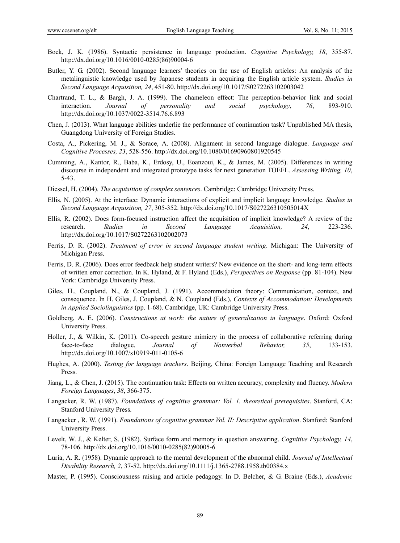- Bock, J. K. (1986). Syntactic persistence in language production. *Cognitive Psychology, 18*, 355-87. http://dx.doi.org/10.1016/0010-0285(86)90004-6
- Butler, Y. G. (2002). Second language learners' theories on the use of English articles: An analysis of the metalinguistic knowledge used by Japanese students in acquiring the English article system. *Studies in Second Language Acquisition, 24*, 451-80. http://dx.doi.org/10.1017/S0272263102003042
- Chartrand, T. L., & Bargh, J. A. (1999). The chameleon effect: The perception-behavior link and social interaction. *Journal of personality and social psychology*, *76*, 893-910. http://dx.doi.org/10.1037/0022-3514.76.6.893
- Chen, J. (2013). What language abilities underlie the performance of continuation task? Unpublished MA thesis, Guangdong University of Foreign Studies.
- Costa, A., Pickering, M. J., & Sorace, A. (2008). Alignment in second language dialogue. *Language and Cognitive Processes, 23*, 528-556. http://dx.doi.org/10.1080/01690960801920545
- Cumming, A., Kantor, R., Baba, K., Erdosy, U., Eoanzoui, K., & James, M. (2005). Differences in writing discourse in independent and integrated prototype tasks for next generation TOEFL. *Assessing Writing, 10*, 5-43.
- Diessel, H. (2004). *The acquisition of complex sentences*. Cambridge: Cambridge University Press.
- Ellis, N. (2005). At the interface: Dynamic interactions of explicit and implicit language knowledge. *Studies in Second Language Acquisition, 27*, 305-352. http://dx.doi.org/10.1017/S027226310505014X
- Ellis, R. (2002). Does form-focused instruction affect the acquisition of implicit knowledge? A review of the research. *Studies in Second Language Acquisition, 24*, 223-236. http://dx.doi.org/10.1017/S0272263102002073
- Ferris, D. R. (2002). *Treatment of error in second language student writing*. Michigan: The University of Michigan Press.
- Ferris, D. R. (2006). Does error feedback help student writers? New evidence on the short- and long-term effects of written error correction. In K. Hyland, & F. Hyland (Eds.), *Perspectives on Response* (pp. 81-104). New York: Cambridge University Press.
- Giles, H., Coupland, N., & Coupland, J. (1991). Accommodation theory: Communication, context, and consequence. In H. Giles, J. Coupland, & N. Coupland (Eds.), *Contexts of Accommodation: Developments in Applied Sociolinguistics* (pp. 1-68). Cambridge, UK: Cambridge University Press.
- Goldberg, A. E. (2006). *Constructions at work: the nature of generalization in language*. Oxford: Oxford University Press.
- Holler, J., & Wilkin, K. (2011). Co-speech gesture mimicry in the process of collaborative referring during face-to-face dialogue. *Journal of Nonverbal Behavior, 35*, 133-153. http://dx.doi.org/10.1007/s10919-011-0105-6
- Hughes, A. (2000). *Testing for language teachers*. Beijing, China: Foreign Language Teaching and Research Press.
- Jiang, L., & Chen, J. (2015). The continuation task: Effects on written accuracy, complexity and fluency. *Modern Foreign Languages*, *38*, 366-375.
- Langacker, R. W. (1987). *Foundations of cognitive grammar: Vol. 1. theoretical prerequisites*. Stanford, CA: Stanford University Press.
- Langacker , R. W. (1991). *Foundations of cognitive grammar Vol. II: Descriptive application*. Stanford: Stanford University Press.
- Levelt, W. J., & Kelter, S. (1982). Surface form and memory in question answering. *Cognitive Psychology, 14*, 78-106. http://dx.doi.org/10.1016/0010-0285(82)90005-6
- Luria, A. R. (1958). Dynamic approach to the mental development of the abnormal child. *Journal of Intellectual Disability Research, 2*, 37-52. http://dx.doi.org/10.1111/j.1365-2788.1958.tb00384.x
- Master, P. (1995). Consciousness raising and article pedagogy. In D. Belcher, & G. Braine (Eds.), *Academic*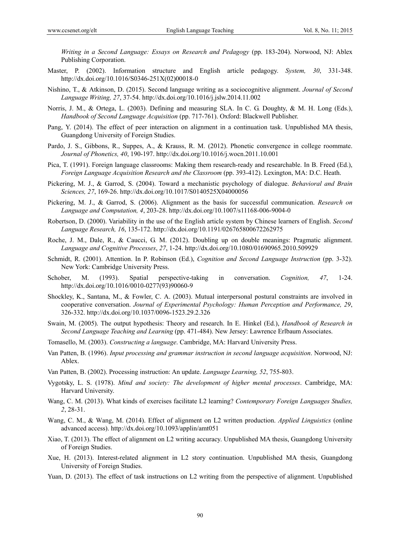*Writing in a Second Language: Essays on Research and Pedagogy* (pp. 183-204). Norwood, NJ: Ablex Publishing Corporation.

- Master, P. (2002). Information structure and English article pedagogy. *System, 30*, 331-348. http://dx.doi.org/10.1016/S0346-251X(02)00018-0
- Nishino, T., & Atkinson, D. (2015). Second language writing as a sociocognitive alignment. *Journal of Second Language Writing, 27*, 37-54. http://dx.doi.org/10.1016/j.jslw.2014.11.002
- Norris, J. M., & Ortega, L. (2003). Defining and measuring SLA. In C. G. Doughty, & M. H. Long (Eds.), *Handbook of Second Language Acquisition* (pp. 717-761). Oxford: Blackwell Publisher.
- Pang, Y. (2014). The effect of peer interaction on alignment in a continuation task. Unpublished MA thesis, Guangdong University of Foreign Studies.
- Pardo, J. S., Gibbons, R., Suppes, A., & Krauss, R. M. (2012). Phonetic convergence in college roommate. *Journal of Phonetics, 40*, 190-197. http://dx.doi.org/10.1016/j.wocn.2011.10.001
- Pica, T. (1991). Foreign language classrooms: Making them research-ready and researchable. In B. Freed (Ed.), *Foreign Language Acquisition Research and the Classroom* (pp. 393-412). Lexington, MA: D.C. Heath.
- Pickering, M. J., & Garrod, S. (2004). Toward a mechanistic psychology of dialogue. *Behavioral and Brain Sciences, 27*, 169-26. http://dx.doi.org/10.1017/S0140525X04000056
- Pickering, M. J., & Garrod, S. (2006). Alignment as the basis for successful communication. *Research on Language and Computation, 4*, 203-28. http://dx.doi.org/10.1007/s11168-006-9004-0
- Robertson, D. (2000). Variability in the use of the English article system by Chinese learners of English. *Second Language Research, 16*, 135-172. http://dx.doi.org/10.1191/026765800672262975
- Roche, J. M., Dale, R., & Caucci, G. M. (2012). Doubling up on double meanings: Pragmatic alignment. *Language and Cognitive Processes*, *27*, 1-24. http://dx.doi.org/10.1080/01690965.2010.509929
- Schmidt, R. (2001). Attention. In P. Robinson (Ed.), *Cognition and Second Language Instruction* (pp. 3-32). New York: Cambridge University Press.
- Schober, M. (1993). Spatial perspective-taking in conversation. *Cognition, 47*, 1-24. http://dx.doi.org/10.1016/0010-0277(93)90060-9
- Shockley, K., Santana, M., & Fowler, C. A. (2003). Mutual interpersonal postural constraints are involved in cooperative conversation. *Journal of Experimental Psychology: Human Perception and Performance, 29*, 326-332. http://dx.doi.org/10.1037/0096-1523.29.2.326
- Swain, M. (2005). The output hypothesis: Theory and research. In E. Hinkel (Ed.), *Handbook of Research in Second Language Teaching and Learning* (pp. 471-484). New Jersey: Lawrence Erlbaum Associates.
- Tomasello, M. (2003). *Constructing a language*. Cambridge, MA: Harvard University Press.
- Van Patten, B. (1996). *Input processing and grammar instruction in second language acquisition*. Norwood, NJ: Ablex.
- Van Patten, B. (2002). Processing instruction: An update. *Language Learning, 52*, 755-803.
- Vygotsky, L. S. (1978). *Mind and society: The development of higher mental processes*. Cambridge, MA: Harvard University.
- Wang, C. M. (2013). What kinds of exercises facilitate L2 learning? *Contemporary Foreign Languages Studies, 2*, 28-31.
- Wang, C. M., & Wang, M. (2014). Effect of alignment on L2 written production. *Applied Linguistics* (online advanced access). http://dx.doi.org/10.1093/applin/amt051
- Xiao, T. (2013). The effect of alignment on L2 writing accuracy. Unpublished MA thesis, Guangdong University of Foreign Studies.
- Xue, H. (2013). Interest-related alignment in L2 story continuation. Unpublished MA thesis, Guangdong University of Foreign Studies.
- Yuan, D. (2013). The effect of task instructions on L2 writing from the perspective of alignment. Unpublished